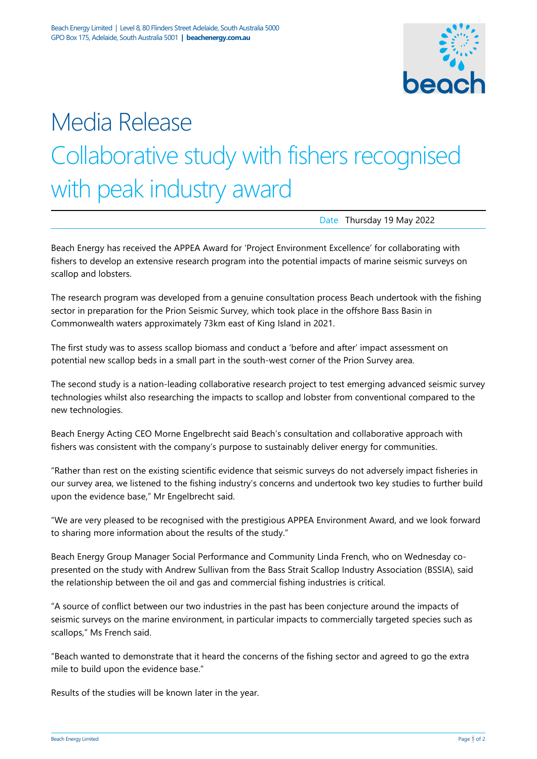

# Media Release Collaborative study with fishers recognised with peak industry award

Date Thursday 19 May 2022

Beach Energy has received the APPEA Award for 'Project Environment Excellence' for collaborating with fishers to develop an extensive research program into the potential impacts of marine seismic surveys on scallop and lobsters.

The research program was developed from a genuine consultation process Beach undertook with the fishing sector in preparation for the Prion Seismic Survey, which took place in the offshore Bass Basin in Commonwealth waters approximately 73km east of King Island in 2021.

The first study was to assess scallop biomass and conduct a 'before and after' impact assessment on potential new scallop beds in a small part in the south-west corner of the Prion Survey area.

The second study is a nation-leading collaborative research project to test emerging advanced seismic survey technologies whilst also researching the impacts to scallop and lobster from conventional compared to the new technologies.

Beach Energy Acting CEO Morne Engelbrecht said Beach's consultation and collaborative approach with fishers was consistent with the company's purpose to sustainably deliver energy for communities.

"Rather than rest on the existing scientific evidence that seismic surveys do not adversely impact fisheries in our survey area, we listened to the fishing industry's concerns and undertook two key studies to further build upon the evidence base," Mr Engelbrecht said.

"We are very pleased to be recognised with the prestigious APPEA Environment Award, and we look forward to sharing more information about the results of the study."

Beach Energy Group Manager Social Performance and Community Linda French, who on Wednesday copresented on the study with Andrew Sullivan from the Bass Strait Scallop Industry Association (BSSIA), said the relationship between the oil and gas and commercial fishing industries is critical.

"A source of conflict between our two industries in the past has been conjecture around the impacts of seismic surveys on the marine environment, in particular impacts to commercially targeted species such as scallops," Ms French said.

"Beach wanted to demonstrate that it heard the concerns of the fishing sector and agreed to go the extra mile to build upon the evidence base."

Results of the studies will be known later in the year.